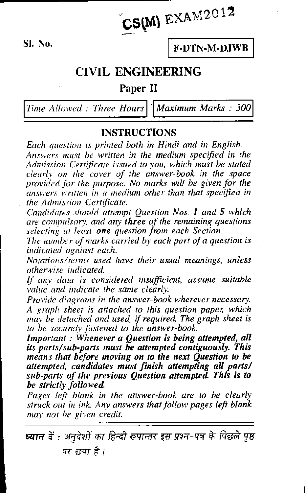$CS(M)$  EXAM2012  $\frac{v}{c}$ 

SI. No. **F-DTN-M-DJWB** 

## **CIVIL ENGINEERING**

## Paper II

Time Allowed : Three Hours  $\vert \vert$  Maximum Marks : 300

## INSTRUCTIONS

Each question is printed both in Hindi and in English. Answers must be written in the medium specified in the Admission Certificate issued to you, which must be stated clearly on the cover of the answer-book in the space provided for the purpose. No marks will be given for the answers written in a medium other than that specified in the Admission Certificate.

Candidates should attempt Question Nos. 1 and 5 which are compulsory, and any three of the remaining questions selecting at least one question from each Section.

The number of marks carried by each part of a question is indicated against each.

Notations/terms used have their usual meanings, unless otherwise indicated.

If any data is considered insufficient, assume suitable value and indicate the same clearly.

Provide diagrams in the answer-book wherever necessary. A graph sheet is attached to this question paper, which may be detached and used, if required. The graph sheet is to be securely fastened to the answer-book.

Important : Whenever a Question is being attempted, all its parts/sub-parts must be attempted contiguously. This means that before moving on to the next Question to be attempted, candidates must finish attempting all parts/ sub-parts of the previous Question attempted. This is to be strictly followed.

Pages left blank in the answer-book are to be clearly struck out in ink. Any answers that follow pages left blank may not be given credit.

ध्यान दें : अनुदेशों का हिन्दी रूपान्तर इस प्रश्न-पत्र के पिछले पृष्ठ पर छपा है।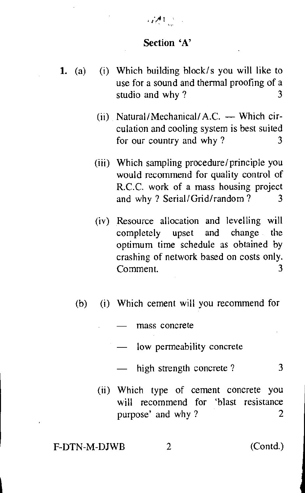#### Section 'A'

المستقبل والمحتوية

- 1. (a) (i) Which building block/s you will like to use for a sound and thermal proofing of a studio and why? 3
	- (ii) Natural/Mechanical/ A.C. Which circulation and cooling system is best suited for our country and why  $?$  3
	- (iii) Which sampling procedure/principle you would recommend for quality control of R.C.C. work of a mass housing project and why ? Serial/Grid/random ? 3
	- (iv) Resource allocation and levelling will completely upset and change the optimum time schedule as obtained by crashing of network based on costs only. Comment. 3
	- (b) (i) Which cement will you recommend for
		- mass concrete
		- low permeability concrete
		- high strength concrete? 3
		- (ii) Which type of cement concrete you will recommend for 'blast resistance purpose' and why ? 2

F-DTN-M-DJWB 2 (Contd.)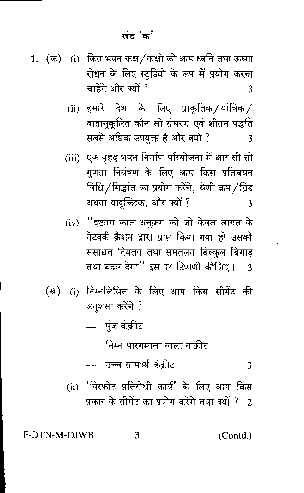- 1. (क) (i) किस भवन कक्ष / कक्षों को आप ध्वनि तथा ऊष्मा रोधन के लिए स्टूडियो के रूप में प्रयोग करना चाहेंगे और क्यों ? 3
	- (ii) हमारे देश के लिए प्राकृतिक ⁄यांत्रिक ⁄ वातानुकूलित कौन सी संचरण एवं शीतन पद्धति सबसे अधिक उपयुक्त है और क्यों ? 3
	- (iii) एक वृहद् भवन निर्माण परियोजना में आर सी सी गणता नियंत्रण के लिए आप किस प्रतिचयन विधि ⁄ सिद्धांत का प्रयोग करेंगे, श्रेणी क्रम ⁄ ग्रिड अथवा यादुच्छिक, और क्यों ? 3
	- ''इष्टतम काल अनुक्रम को जो केवल लागत के  $(iv)$ नेटवर्क क्रैशन द्वारा प्राप्त किया गया हो उसको संसाधन नियतन तथा समतलन बिल्कल बिगाड़ तथा बदल देगा'' इस पर टिप्पणी कीजिए। 3
	- (i) निम्नलिखित के लिए आप किस सीमेंट की ( ल) अनुशंसा करेंगे ?
		- पुंज कंक्रीट
			- निम्न पारगम्यता वाला कक्रीट
		- उच्च सामर्थ्य कंकीट 3
		- (ii) 'विस्फोट प्रतिरोधी कार्य' के लिए आप किस प्रकार के सीमेंट का प्रयोग करेंगे तथा क्यों ? 2

#### 3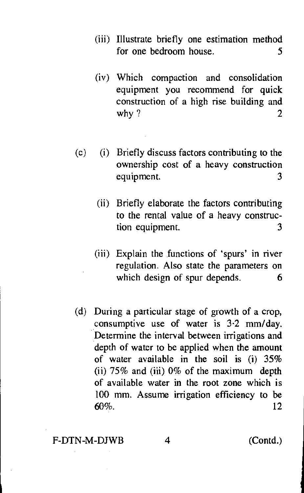- (iii) Illustrate briefly one estimation method for one bedroom house. 5
- (iv) Which compaction and consolidation equipment you recommend for quick construction of a high rise building and why ?  $2$
- (c) (i) Briefly discuss factors contributing to the ownership cost of a heavy construction equipment. 3
	- (ii) Briefly elaborate the factors contributing to the rental value of a heavy construction equipment. 3
	- (iii) Explain the functions of 'spurs' in river regulation. Also state the parameters on which design of spur depends. 6
- (d) During a particular stage of growth of a crop, consumptive use of water is 3.2 mm/day. Determine the interval between irrigations and depth of water to be applied when the amount of water available in the soil is (i) 35% (ii) 75% and (iii) 0% of the maximum depth of available water in the root zone which is 100 mm. Assume irrigation efficiency to be  $60\%$ . 12

#### F-DTN-M-DJWB 4 (Contd.)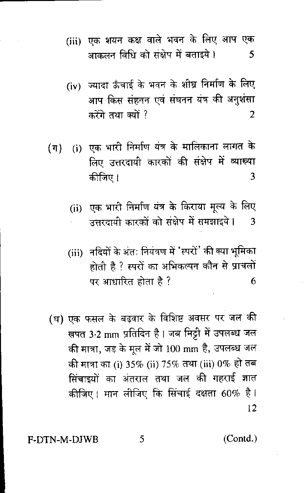- (iii) एक शयन कक्ष वाले भवन के लिए आप एक आकलन विधि को संक्षेप में बताइये। 5
- (iv) ज्यादा ऊँचाई के भवन के शीघ्र निर्माण के लिए आप किस संहनन एवं संघनन यंत्र की अनुशंसा करेंगे तथा क्यों ? 2
- (ग) (i) एक भारी निर्माण यंत्र के मालिकाना लागत के लिए उत्तरदायी कारकों की संक्षेप में व्याख्या कीजिए। 3
	- (ii) एक भारी निर्माण यंत्र के किराया मूल्य के लिए उत्तरदायी कारकों को संक्षेप में समझाइये।  $\overline{3}$
	- (iii) नदियों के अंतः नियंत्रण में 'स्परों' की क्या भूमिका होती है ? स्परों का अभिकल्पन कौन से प्राचलों पर आधारित होता है ? 6
- (घ) एक फसल के बढ़वार के विशिष्ट अवसर पर जल की खपत 3.2 mm प्रतिदिन है। जब मिट्टी में उपलब्ध जल की मात्रा, जड़ के मुल में जो 100 mm है, उपलब्ध जल की मात्रा का (i) 35% (ii) 75% तथा (iii) 0% हो तब सिँचाइयों का अंतराल तथा जल की गहराई ज्ञात कीजिए। मान लीजिए कि सिंचाई दक्षता 60% है।  $12$

(Contd.)

5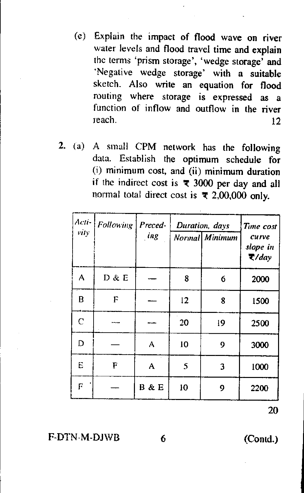- (c) Explain the impact of flood wave on river water levels and flood travel time and explain the terms 'prism storage', 'wedge storage' and `Negative wedge storage' with a suitable sketch. Also write an equation for flood routing where storage is expressed as a function of inflow and outflow in the river  $l$ each. 12
- **2.** (a) A small CPM network has the following data. Establish the optimum schedule for (i) minimum cost, and (ii) minimum duration if the indirect cost is  $\overline{\tau}$  3000 per day and all normal total direct cost is  $\overline{x}$  2,00,000 only.

| Acti-<br>vity | Following | Preced-<br>ing | Duration, days<br>Normal Minimum |    | Time cost<br>curve<br>slope in<br>$\overline{\tau}/day$ |
|---------------|-----------|----------------|----------------------------------|----|---------------------------------------------------------|
| Α             | D & E     |                | 8                                | 6  | 2000                                                    |
| B             | F         |                | 12                               | 8  | 1500                                                    |
| $\ddot{C}$    |           |                | 20                               | 19 | 2500                                                    |
| D             |           | A              | 10                               | 9  | 3000                                                    |
| E             | F         | A              | 5                                | 3  | 1000                                                    |
| F             |           | B & E          | 10                               | 9  | 2200                                                    |

20

F-DTN-M-DJWB 6 (Contd.)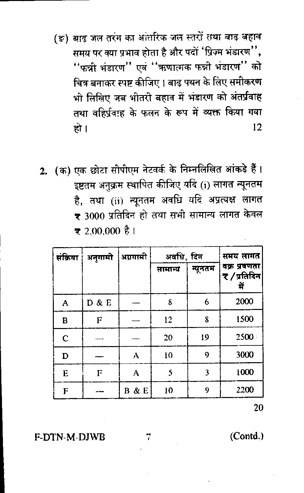- (ङ) बाढ़ जल तरंग का आंतरिक जल स्तरों तथा बाढ़ बहाव समय पर क्या प्रभाव होता है और पदों 'प्रिज़्म भंडारण'', ''फन्नी भंडारण'' एवं ''ऋणात्मक फन्नी भंडारण'' को चित्र बनाकर स्पष्ट कीजिए । बाढ़ पथन के लिए समीकरण भी लिखिए जब भीतरी बहाव में भंडारण को अंतर्प्रवाह तथा वहिर्प्रवाह के फलन के रूप में व्यक्त किया गया हो । 12
- 2. (क) एक छोटा सीपीएम नेटवर्क के निम्नलिखित आंकड़े हैं। इष्टतम अनुक्रम स्थापित कीजिए यदि (1) लागत न्यूनतम है, तथा (ii) न्यूनतम अवधि यदि अप्रत्यक्ष लागत <del>र</del> 3000 प्रतिदिन हो तथा सभी सामान्य लागत केवल ₹ 2.00.000 है।

| संक्रिया     | अनुगामी | अग्रगामी | अवधि, दिन | समय लागत |                              |
|--------------|---------|----------|-----------|----------|------------------------------|
|              |         |          | सामान्य   | न्यूनतम  | वक्र प्रवणता<br>₹ ⁄ प्रतिदिन |
| А            | D & E   |          | 8         | 6        | 2000                         |
| B            | F       |          | 12        | 8        | 1500                         |
| $\mathsf{C}$ |         |          | 20        | 19       | 2500                         |
| $\mathbf D$  |         | Α        | 10        | 9        | 3000                         |
| E            | F       | А        | 5         | 3        | 1000                         |
| F            |         | B & E    | 10        | Q        | 2200                         |

20

**F-DTN-M-DIWB**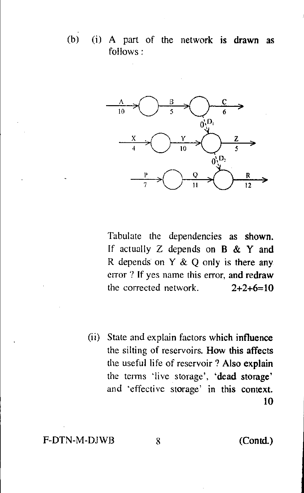(b) (i) A part of the network is drawn as follows :



Tabulate the dependencies as shown. If actually  $Z$  depends on  $B \& Y$  and R depends on Y & Q only is there any error ? If yes name this error, and redraw the corrected network.  $2+2+6=10$ 

(ii) State and explain factors which influence the silting of reservoirs. How this affects the useful life of reservoir ? Also explain the terms 'live storage', 'dead storage' and 'effective storage' in this context. 10

### F-DTN-M-DJWB 8 (Contd.)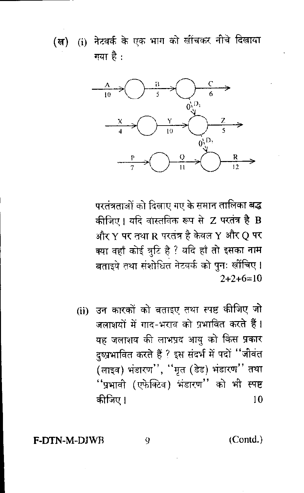(i) नेटवर्क के एक भाग को खींचकर नीचे दिखाया (ख) गया है:



परतंत्रताओं को दिखाए गए के समान तालिका बद्ध कीजिए। यदि वास्तविक रूप से Z परतंत्र है B और Y पर तथा R परतंत्र है केवल Y और Q पर क्या वहाँ कोई त्रुटि है ? यदि हाँ तो इसका <mark>नाम</mark> बताइये तथा संशोधित नेटवर्क को पुनः खींचिए।  $2+2+6=10$ 

(ii) उन कारकों को बताइए तथा स्पष्ट कीजिए जो जलाशयों में गाद-भराव को प्रभावित करते हैं। यह जलाशय की लाभप्रद आयु को किस प्रकार दुष्प्रभावित करते हैं ? इस संदर्भ में पदों "जीवंत (लाइव) भंडारण'', ''मृत (डेड) भंडारण'' तथा ''प्रभावी (एफेक्टिव) भंडारण'' को भी स्पष्ट कीजिए।  $10$ 

(Contd.)

**F-DTN-M-DIWB** 

9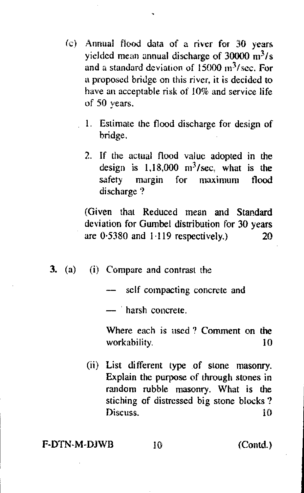- (c) Annual flood data of a river for 30 years yielded mean annual discharge of  $30000 \text{ m}^3$ /s and a standard deviation of  $15000 \text{ m}^3/\text{sec}$ . For a proposed bridge on this river, it is decided to have an acceptable risk of 10% and service life of 50 years.
	- 1. Estimate the flood discharge for design of bridge.
	- 2. If the actual flood value adopted in the design is  $1,18,000$  m<sup>3</sup>/sec, what is the safety margin for maximum flood discharge ?

(Given that Reduced mean and Standard deviation for Gumbel distribution for 30 years are  $0.5380$  and  $1.119$  respectively.) 20

3. (a) (i) Compare and contrast the

self compacting concrete and

— harsh concrete.

Where each is used ? Comment on the workability. 10

(ii) List different type of stone masonry. Explain the purpose of through stones in random nibble masonry. What is the stiching of distressed big stone blocks ? Discuss. 10

#### F-DTN-M-DJWB 10 (Contd.)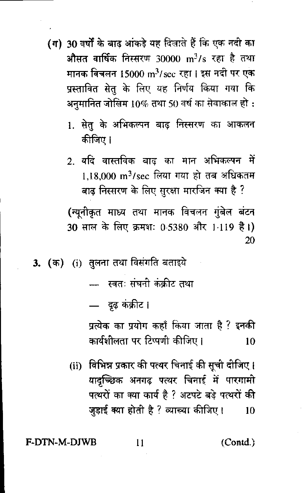- (ग) 30 वर्षों के बाढ़ आंकड़े यह दिलाते हैं कि एक नदी का औसत वार्षिक निस्सरण 30000 m $^3$ / $\mathrm{s}$  रहा है तथा मानक विचलन 15000 m<sup>3</sup>/sec रहा । इस नदी पर एक प्रस्तावित सेतु के लिए यह निर्णय किया गया क<mark>ि</mark> अनुमानित जोखिम 10% तथा 50 वर्ष का सेवाकाल हो :
	- 1. सेतु के अभिकल्पन बाढ़ निस्सरण का आकलन कीजिए ।
	- 2. यदि वास्तविक बाढ का मान अभिकल्पन में  $1.18,000$  m<sup>3</sup>/sec लिया गया हो तब अधिकतम बाढ़ निस्सरण के लिए सुरक्षा मारजिन क्या है ?

(न्यूनीकृत माध्य तथा मानक विचलन गुंबेल बंटन 30 साल के लिए क्रमशः 0.5380 और 1.119 है।) 20

3. (क) (i) तुलना तथा विसंगति बताइये

- स्वतः संघनी कंकीट तथा

— दृढ़ कंक्रीट।

प्रत्येक का प्रयोग कहाँ किया जाता है ? इनकी कार्यशीलता पर टिप्पणी कीजिए। 10

(ii) विभिन्न प्रकार की पत्थर चिनाई की सूची दीजिए। यादच्छिक अनगढ पत्थर चिनाई में पारगामी पत्थरों का क्या कार्य है ? अटपटे बड़े पत्थरों की जुड़ाई क्या होती है ? व्याख्या कीजिए।  $10$ 

F-DTN-M-DJWB

11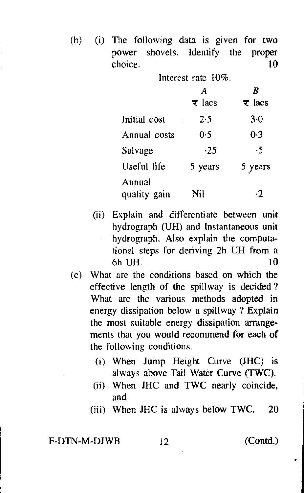(b) (i) The following data is given for two power shovels. Identify the proper choice. 10

> Interest rate 10%. A  $\boldsymbol{B}$  $\overline{\tau}$  lacs  $\overline{\tau}$  lacs Initial cost  $2.5$   $3.0$ Annual costs 0.5 0.3 Salvage  $\cdot 25$   $\cdot 5$ Useful life 5 years 5 years Annual quality gain  $\frac{1}{2}$  Nil  $\frac{1}{2}$

- (ii) Explain and differentiate between unit hydrograph (UH) and Instantaneous unit hydrograph. Also explain the computational steps for deriving 2h UH from a 6h UH. 10
- (c) What are the conditions based on which the effective length of the spillway is decided ? What are the various methods adopted in energy dissipation below a spillway ? Explain the most suitable energy dissipation arrangements that you would recommend for each of the following conditions.
	- (i) When Jump Height Curve (JHC) is always above Tail Water Curve (TWC).
	- (ii) When JHC and TWC nearly coincide, and
	- (iii) When  $JHC$  is always below TWC. 20

F-DTN-M-DJWB 12 (Contd.)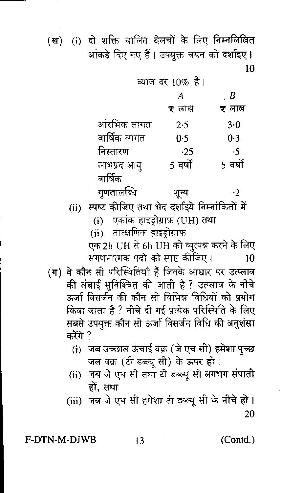(ख) (i) दो शक्ति चालित बेलचों के लिए निम्नलिखित आंकड़े दिए गए हैं। उपयुक्त चयन को दर्शाइए। 10

|              | व्याज दर 10% है  |          |
|--------------|------------------|----------|
|              | А                | . B      |
|              | <del>र</del> लाख | ₹ लाख    |
| आंरभिक लागत  | 25               | $3-0$    |
| वार्षिक लागत | 0.5              | 0.3      |
| निस्तारण     | $-25$            | ۰5       |
| लाभप्रद आयु  | 5 वर्षों         | 5 वर्षों |
| वार्षिक      |                  |          |
| गुणतालब्धि   | शून्य            | -2       |

- (ii) स्पष्ट कीजिए तथा भेद दर्शाइये निम्नांकितों में
	- (i) एकांक हाइड़ोग्राफ़ (UH) तथा
	- (ii) तात्क्षणिक हाइड्रोग्राफ

एक 2h UH से 6h UH को व्युत्पन्न करने के लिए संगणनात्मक पदों को स्पष्ट कीजिए। 10

- (ग) वे कौन सी परिस्थितियाँ हैं जिनके आधार पर उत्प्लाव की लंबाई सुनिश्चित की जाती है ? उत्प्लाव के <mark>नीचे</mark> ऊर्जा विसर्जन की कौन सी विभिन्न विधियों को प्रयोग किया जाता है ? नीचे दी गई प्रत्येक परिस्थिति के लिए सबसे उपयुक्त कौन सी ऊर्जा विसर्जन विधि की अनुशंस<mark>ा</mark> करेंगे ?
	- (i) जब उच्छाल ऊँचाई वक्र (जे एच सी) हमेशा पुच्छ जल वक्र (टी डब्ल्यू सी) के ऊपर हो।
	- (ii) जब जे एच सी तथा टी डब्ल्यू सी लगभग संपाती हों. तथा

(iii) जब जे एच सी हमेशा टी डब्ल्यू सी के नीचे हो । 20

F-DTN-M-DJWB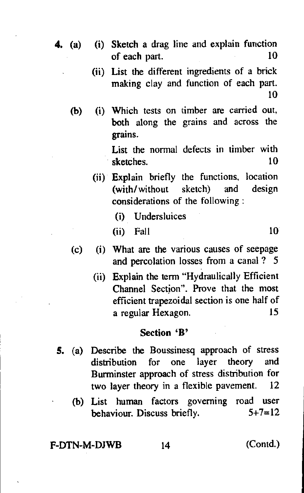- 4. (a) **(i) Sketch** a drag line and explain function of each part. 10
	- (ii) List the different ingredients of a brick making clay and function of each part. 10
	- (b) Which tests on timber are carried out, both along the grains and across the grains.

List the normal defects in timber with sketches. 10

- (ii) Explain briefly the functions, location (with/without sketch) and design considerations of the following :
	- (i) Undersluices
	- $(i)$  Fall  $10$
- (c) (i) What are the various causes of seepage and percolation losses from a canal ? 5
	- (ii) Explain the term "Hydraulically Efficient Channel Section". Prove that the most efficient trapezoidal section is one half of a regular Hexagon. 15

#### **Section 'B'**

- **S.** (a) Describe the Boussinesq approach of stress distribution for one layer theory and Burminster approach of stress distribution for two layer theory in a flexible pavement. 12
	- (b) List human factors governing road user behaviour. Discuss briefly.  $5+7=12$

## F-DTN-M-DJWB 14 (Contd.)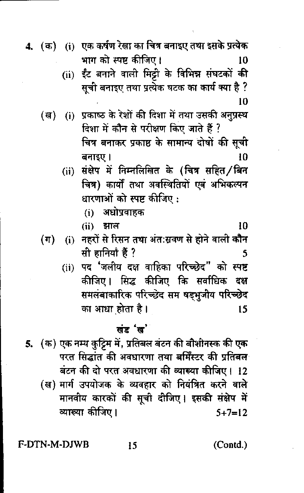4. (क) (i) एक कर्षण रेखा का चित्र बनाइए तथा इसके प्रत्येक भाग को स्पष्ट कीजिए । 10

> (ii) ईंट बनाने वाली मिट्टी के विभिन्न संघटकों की सूची बनाइए तथा प्रत्येक घटक का कार्य क्या है ? 10

- (ख) (i) प्रकाष्ठ के रेशों की दिशा में तथा उसकी अनुप्रस्थ दिशा में कौन से परीक्षण किए जाते हैं ? चित्र बनाकर प्रकाष्ठ के सामान्य दोषों की सूची बनाइए। 10
	- (ii) संक्षेप में निम्नलिखित के (चित्र सहित/बिन चित्र) कार्यों तथा अवस्थितियों एवं अभिकल्पन धारणाओं को स्पष्ट कीजिए:
		- अधोप्रवाहक  $(i)$
		- $(ii)$  आल
- (i) नहरों से रिसन तथा अंत:सवण से होने वाली कौन  $(\Pi)$ सी हानियाँ हैं ? 5
	- पद 'जलीय दक्ष वाहिका परिच्छेद" को स्पष्ट  $(ii)$ कीजिए। सिद्ध कीजिए कि सर्वाधिक दश समलंबाकारिक परिच्छेद सम षडभूजीय परिच्छेद का आधा होता है। 15

#### खंड 'ख'

5. (क) एक नम्य कुट्टिम में, प्रतिबल बंटन की बौशीनस्क की एक परत सिद्धांत की अवधारणा तथा बर्मिंस्टर की प्रतिबल बंटन की दो परत अवधारणा की व्याख्या कीजिए। 12

(ख) मार्ग उपयोजक के व्यवहार को नियंत्रित करने वाले मानवीय कारकों की सूची दीजिए। इसकी संक्षेप में व्याख्या कीजिए।  $5 + 7 = 12$ 

F-DTN-M-DJWB

15

 $(Cond.)$ 

10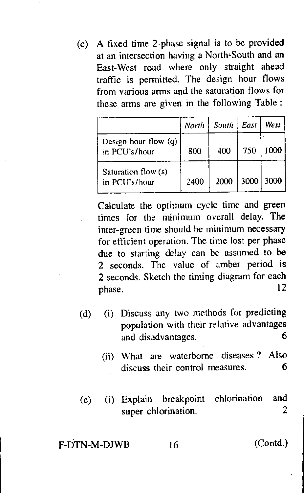(c) A fixed time 2-phase signal is to be provided at an intersection having a North-South and an East-West road where only straight ahead traffic is permitted. The design hour flows from various arms and the saturation flows for these arms are given in the following Table :

|                                       | North | South East |     | West 1    |
|---------------------------------------|-------|------------|-----|-----------|
| Design hour flow (q)<br>in PCU's/hour | 800   | `400       | 750 | 1000      |
| Saturation flow (s)<br>in PCU's/hour  | 2400  | 2000       |     | 3000 3000 |

Calculate the optimum cycle time and green times for the minimum overall delay. The inter-green time should he minimum necessary for efficient operation. The time lost per phase due to starting delay can be assumed to be 2 seconds. The value of amber period is 2 seconds. Sketch the timing diagram for each phase. 12

- (d) (i) Discuss any two methods for predicting population with their relative advantages and disadvantages. 6
	- (ii) What are waterborne diseases ? Also discuss their control measures. 6
- (e) (i) Explain breakpoint chlorination and super chlorination. 2

## F-DTN-M-DJWB 16 (Contd.)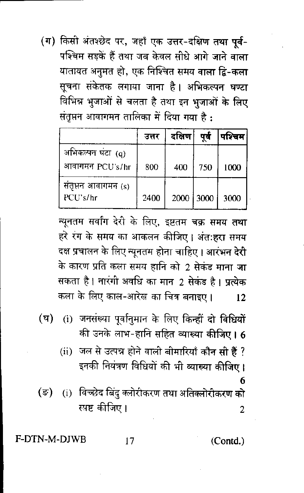(ग) किसी अंतश्छेद पर, जहाँ एक उत्तर-दक्षिण तथा पूर्व-पश्चिम सड़कें हैं तथा जब केवल सीधे आगे जाने वाला यातायत अनुमत हो, एक निश्चित समय वाला द्वि-कला सूचना संकेतक लगाया जाना है। अभिकल्पन घण्टा विभिन्न भुजाओं से चलता है तथा इन भुजाओं के लिए संतृप्तन आवागमन तालिका में दिया गया है :

|                                      | उत्तर | दक्षिण    | पर्व | ाश्चिम' |
|--------------------------------------|-------|-----------|------|---------|
| अभिकल्पन घंटा (q)<br>आवागमन PCU's/br | 800   | 400       | 750  | 1000    |
| सत्तूप्तन आवागमन (s)<br>PCU's/hr     | 2400  | 2000 3000 |      | 3000    |

न्यूनतम सर्वांग देरी के लिए, इष्टतम चक्र समय तथा हरे रग के समय का आकलन कीजिए। अंत:हरा समय दक्ष प्रचालन के लिए न्यूनतम होना चाहिए । आरंभन देरी के कारण प्रति कला समय हानि को 2 सेकड माना जा सकता है । नारंगी अवधि का मान 2 सेकंड है । प्रत्येक कला के लिए काल-आरेख का चित्र बनाइए ।  $12$ 

- (i) जनसंख्या पूर्वानुमान के लिए किन्हीं दो विधियों  $(\bar{q})$ की उनके लाभ-हानि सहित व्याख्या कीजिए। 6
	- (ii) जल से उत्पन्न होने वाली बीमारियाँ कौन सी है ? इनकी नियंत्रण विधियों की भी व्याख्या कीजिए। 6
- (i) विच्छेद बिंदु क्लोरीकरण तथा अतिक्लोरीकरण को  $(\overline{z})$ स्पष्ट कीजिए।  $\overline{2}$

(Contd.)

#### $17$

**F-DTN-M-DIWB**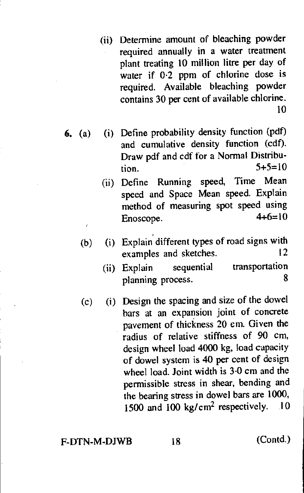- (ii) Determine amount of bleaching powder required annually in a water treatment plant treating 10 million litre per day of water if 0.2 ppm of chlorine dose is required. Available bleaching powder contains 30 per cent of available chlorine. 10
- **6.** (a) (i) Define probability density function (pdf) and cumulative density function (cdf). Draw pdf and cdf for a Normal Distribution.  $5+5=10$ 
	- (ii) Define Running speed, Time Mean speed and Space Mean speed. Explain method of measuring spot speed using Enoscope.  $4+6=10$
	- (b) (i) Explain different types of road signs with<br>examples and sketches  $\frac{12}{12}$ examples and sketches.
		- (ii) Explain sequential transportation<br>8 planning process.
	- (c) (i) Design the spacing and size of the dowel bars at an expansion joint of concrete pavement of thickness 20 em. Given the radius of relative stiffness of 90 cm, design wheel load 4000 kg, load capacity of dowel system is 40 per cent of design wheel load. Joint width is 3.0 cm and the permissible stress in shear, bending and the bearing stress in dowel bars are 1000, 1500 and 100 kg/cm<sup>2</sup> respectively. 10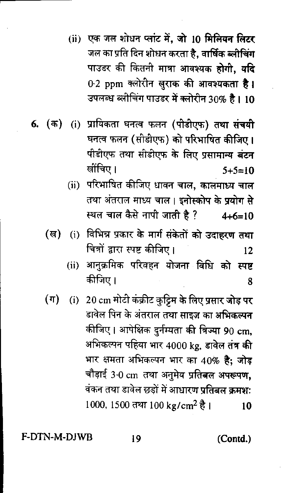(ii) एक जल शोधन प्लांट में. जो 10 मिलियन लिटर जल का प्रति दिन शोधन करता है, वार्षिक ब्लीचिंग पाउडर की कितनी मात्रा आवश्यक होगी, य**दि** 0.2 ppm क्लोरीन खुराक की आवश्यकता है। उपलब्ध ब्लीचिंग पाउडर में क्लोरीन 30% है। 10

- 6. (क) (i) प्रायिकता घनत्व फलन (पीडीएफ) तथा संचयी घनत्व फलन (सोडोएफ) को परिभाषित कीजिए । पीडीएफ तथा सीडीएफ के लिए प्रसामान्य बंटन खींचिए ।  $5+5=10$ 
	- (ii) परिभाषित कीजिए धावन चाल, कालमाध्य चाल तथा अंतराल माध्य चाल। इनोस्कोप के प्रयोग से स्थल चाल कैसे नापी जाती है ?  $4 + 6 = 10$
	- (i) विभिन्न प्रकार के मार्ग संकेतों को उदाहरण तथा  $(\overline{a})$ चित्रों द्वारा स्पष्ट कीजिए।  $12$ 
		- (ii) आनुक्रमिक परिवहन योजना विधि को स्पष्ट कीजिए । 8
	- $(\pi)$ (i) 20 cm मोटी कंक्रीट कुट्टिम के लिए प्रसार जोड़ पर डावेल पिन के अंतराल तथा साइज का अभिकल्पन कीजिए। आपेक्षिक दुर्नम्यता की त्रिज्या 90 cm. अभिकल्पन पहिया भार 4000 kg, डावेल तंत्र की भार क्षमता अभिकल्पन भार का 40% है; जोड़ चौड़ाई 3.0 cm तथा अनुमेय प्रतिबल अपरूपण, वंकन तथा डावेल छडों में आधारण प्रतिबल क्रमशः 1000, 1500 तथा 100 kg/cm<sup>2</sup> है। 10

**F-DTN-M-DIWR** 

19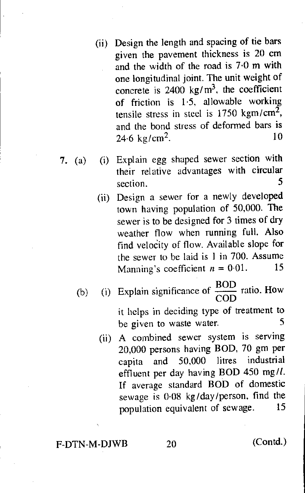- (ii) Design the length and spacing of tie bars given the pavement thickness is 20 cm and the width of the road is 7.0 m with one longitudinal joint. The unit weight of concrete is  $2400 \text{ kg/m}^3$ , the coefficient of friction is 1.5, allowable working tensile stress in steel is  $1750 \text{ kgm/cm}^2$ , and the bond stress of deformed bars is 24.6 kg/cm<sup>2</sup>. 10
- 7. (a) (i) Explain egg shaped sewer section with their relative advantages with circular section. 5
	- (ii) Design a sewer for a newly developed town having population of 50,000. The sewer is to be designed for 3 times of dry weather flow when running full. Also find velocity of flow. Available slope for the sewer to be laid is 1 in 700. Assume Manning's coefficient  $n = 0.01$ . 15
	- (b) (i) Explain significance of  $\frac{BOD}{600}$  ratio. How COD it helps in deciding type of treatment to be given to waste water. 5
		- (ii) A combined sewer system is serving 20,000 persons having BOD, 70 gm per capita and 50,000 litres industrial effluent per day having BOD 450 mg//. If average standard BOD of domestic sewage is 0.08 kg/day/person, find the population equivalent of sewage. 15

F-DTN-M-DJWB 20 (Contd.)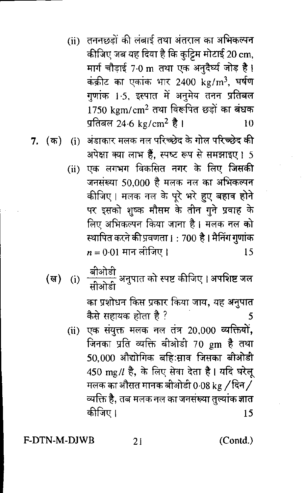- (ii) तननछड़ों की लंबाई तथा अंतराल का अभिकल्पन कीजिए जब यह दिया है कि कुट्टिम मोटाई 20 cm, मार्ग चौड़ाई 7.0 m तथा एक अनुदैर्घ्य जोड़ है। कंक्रीट का एकांक भार 2400 kg/m<sup>3</sup>, घर्षण गुणांक 1<sub>'</sub>5, इस्पात में अनुमेय तनन प्रति<mark>बल</mark>  $1750 \;{\rm km/cm^2}$  तथा विरूपित छड़ों का बंधक प्रतिबल 24.6 kg/cm<sup>2</sup> है । 10
- (i) अंडाकार मलक नल परिच्छेद के गोल परिच्छे<mark>द की</mark> 7. (क) अपेक्षा क्या लाभ हैं. स्पष्ट रूप से समझाइए। 5
	- (ii) एक लगभग विकसित नगर के लिए जिसकी जनसंख्या 50,000 है मलक नल का अभिकल्पन कीजिए। मलक नल के पूरे भरे हुए <mark>बहाव होने</mark> पर इसको शुष्क मौसम के तीन गुने प्रवाह के लिए अभिकल्पन किया जाना है। मलक <mark>नल को</mark> स्थापित करने की प्रवणता । : 700 है । मैनिंग गुणांक  $n = 0.01$  मान लीजिए । 15
	- \_बीओडी<br>सीओडी अनुपात को स्पष्ट कीजिए । अपशिष्ट जल (ल)  $(i)$ का प्रशोधन किस प्रकार किया जाय, यह अनुपात कैसे सहायक होता है ? 5
		- (ii) एक संयुक्त मलक नल तंत्र 20,000 व्यक्तियों, जिनका प्रति व्यक्ति बीओडी 70 gm है तथा 50,000 औद्योगिक बहिःसाव जिसका बीओडी 450 mg/l है, के लिए सेवा देता है। यदि घरेलू मलक का औसत मानक बीओडी 0·08 kg / दिन / व्यक्ति है, तब मलक नल का जनसंख्या तुल्यांक ज्ञात कीजिए ।  $15$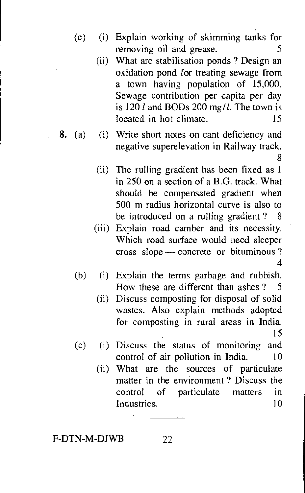- (c) (i) Explain working of skimming tanks for removing oil and grease. 5
	- (ii) What are stabilisation ponds ? Design an oxidation pond for treating sewage from a town having population of 15,000. Sewage contribution per capita per day is 120  $l$  and BODs 200 mg/l. The town is located in hot climate. 15
- 8. (a) (i) Write short notes on cant deficiency and negative superelevation in Railway track. 8
	- (ii) The rulling gradient has been fixed as 1 in 250 on a section of a B.G. track. What should be compensated gradient when 500 m radius horizontal curve is also to be introduced on a rulling gradient ? 8
	- (iii) Explain road camber and its necessity. Which road surface would need sleeper cross slope — concrete or bituminous ? 4
	- (b) (i) Explain the terms garbage and rubbish. How these are different than ashes ? 5
		- (ii) Discuss composting for disposal of solid wastes. Also explain methods adopted for composting in rural areas in India. 15
	- (c) (i) Discuss the status of monitoring and control of air pollution in India. 10
		- (ii) What are the sources of particulate matter in the environment ? Discuss the control of particulate matters in Industries. 10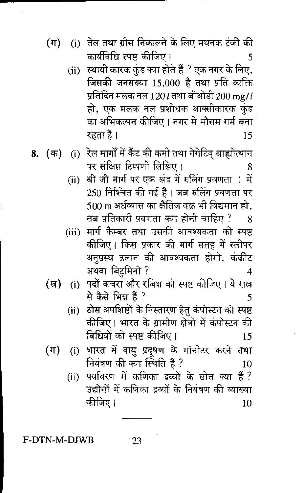- (i) तेल तथा ग्रीस निकालने के लिए मथनक टंकी की  $(\pi)$ कार्यविधि स्पष्ट कीजिए । 5
	- (ii) स्थायी कारक कुंड क्या होते हैं ? एक नगर के लिए, जिसकी जनसंख्या 15,000 है तथा प्रति व्यक्ति प्रतिदिन मलक नल 1201 तथा बीओडी 200 mg/l हो, एक मलक नल प्रशोधक आक्सीकारक कुंड का अभिकल्पन कीजिए । नगर में मौसम गर्म बना रहता है। 15
- (i) रेल मार्गों में कैंट की कमी तथा नेगेटिव बाह्योत्थान 8. (क) पर संक्षिप्त टिप्पणी लिखिए।
	- बी जी मार्ग पर एक खंड में रुलिंग प्रवणता 1 में  $(ii)$ 250 निश्चित की गई है । जब रुलिंग प्रवणता पर 500 m अर्धव्यास का क्षैतिज वक्र भी विद्यमान हो. तब प्रतिकारी प्रवणता क्या होनी चाहिए ?
	- (iii) मार्ग कैम्बर तथा उसकी आवश्यकता को स्पष्ट कीजिए । किस प्रकार की मार्ग सतह में स्लीपर अनुप्रस्थ ढलान की आवश्यकता होगी, कंक्रीट अथवा बिट्सिनी ?
	- (i) पदों कचरा और रबिश को स्पष्ट कीजिए । ये राख (ख) से कैसे भिन्न हैं ? 5
		- ठोस अपशिष्टों के निस्तारण हेतु कंपोस्टन को स्पष्ट  $(ii)$ कीजिए। भारत के ग्रामीण क्षेत्रों में कंपोस्टन की विधियों को स्पष्ट कीजिए। 15
	- (i) भारत में वायु प्रदूषण के मॉनीटर करने तथा  $(\textcolor{blue}{\P})$ नियंत्रण की क्या स्थिति है ? 10
		- पर्यावरण में कणिका द्रव्यों के स्रोत क्या हैं ?  $(ii)$ उद्योगों में कणिका द्रव्यों के नियंत्रण की व्याख्या कीजिए । 10

23